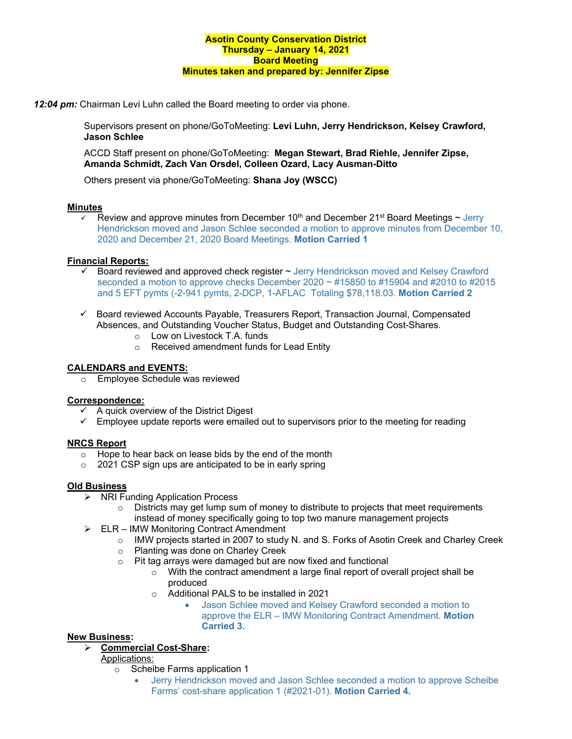*12:04 pm:* Chairman Levi Luhn called the Board meeting to order via phone.

Supervisors present on phone/GoToMeeting: **Levi Luhn, Jerry Hendrickson, Kelsey Crawford, Jason Schlee**

ACCD Staff present on phone/GoToMeeting: **Megan Stewart, Brad Riehle, Jennifer Zipse, Amanda Schmidt, Zach Van Orsdel, Colleen Ozard, Lacy Ausman-Ditto**

Others present via phone/GoToMeeting: **Shana Joy (WSCC)**

# **Minutes**

 $\overline{\phantom{a}}$  Review and approve minutes from December 10<sup>th</sup> and December 21<sup>st</sup> Board Meetings  $\sim$  Jerry Hendrickson moved and Jason Schlee seconded a motion to approve minutes from December 10, 2020 and December 21, 2020 Board Meetings. **Motion Carried 1**

# **Financial Reports:**

- Board reviewed and approved check register ~ Jerry Hendrickson moved and Kelsey Crawford seconded a motion to approve checks December 2020  $\sim$  #15850 to #15904 and #2010 to #2015 and 5 EFT pymts (-2-941 pymts, 2-DCP, 1-AFLAC Totaling \$78,118.03. **Motion Carried 2**
- $\checkmark$  Board reviewed Accounts Payable, Treasurers Report, Transaction Journal, Compensated Absences, and Outstanding Voucher Status, Budget and Outstanding Cost-Shares.
	- o Low on Livestock T.A. funds
	- o Received amendment funds for Lead Entity

#### **CALENDARS and EVENTS:**

o Employee Schedule was reviewed

### **Correspondence:**

- A quick overview of the District Digest
- $\checkmark$  Employee update reports were emailed out to supervisors prior to the meeting for reading

# **NRCS Report**

- o Hope to hear back on lease bids by the end of the month
- o 2021 CSP sign ups are anticipated to be in early spring

#### **Old Business**

- **▶ NRI Funding Application Process** 
	- $\circ$  Districts may get lump sum of money to distribute to projects that meet requirements instead of money specifically going to top two manure management projects
- $\triangleright$  ELR IMW Monitoring Contract Amendment
	- o IMW projects started in 2007 to study N. and S. Forks of Asotin Creek and Charley Creek
	- o Planting was done on Charley Creek
		- o Pit tag arrays were damaged but are now fixed and functional
			- o With the contract amendment a large final report of overall project shall be produced
			- o Additional PALS to be installed in 2021
				- Jason Schlee moved and Kelsey Crawford seconded a motion to approve the ELR – IMW Monitoring Contract Amendment. **Motion Carried 3.**

# **New Business:**

- **Commercial Cost-Share:** 
	- Applications:
		- o Scheibe Farms application 1
			- Jerry Hendrickson moved and Jason Schlee seconded a motion to approve Scheibe Farms' cost-share application 1 (#2021-01). **Motion Carried 4.**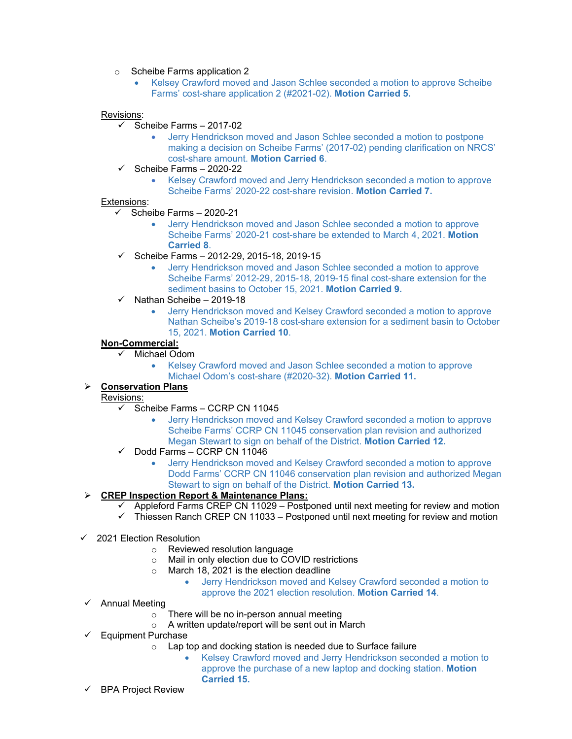o Scheibe Farms application 2

• Kelsey Crawford moved and Jason Schlee seconded a motion to approve Scheibe Farms' cost-share application 2 (#2021-02). **Motion Carried 5.**

#### Revisions:

- $\checkmark$  Scheibe Farms 2017-02
	- Jerry Hendrickson moved and Jason Schlee seconded a motion to postpone making a decision on Scheibe Farms' (2017-02) pending clarification on NRCS' cost-share amount. **Motion Carried 6**.
- $\checkmark$  Scheibe Farms 2020-22
	- Kelsey Crawford moved and Jerry Hendrickson seconded a motion to approve Scheibe Farms' 2020-22 cost-share revision. **Motion Carried 7.**

### Extensions:

- $\checkmark$  Scheibe Farms 2020-21
	- Jerry Hendrickson moved and Jason Schlee seconded a motion to approve Scheibe Farms' 2020-21 cost-share be extended to March 4, 2021. **Motion Carried 8**.
- $\checkmark$  Scheibe Farms 2012-29, 2015-18, 2019-15
	- Jerry Hendrickson moved and Jason Schlee seconded a motion to approve Scheibe Farms' 2012-29, 2015-18, 2019-15 final cost-share extension for the sediment basins to October 15, 2021. **Motion Carried 9.**
- $\checkmark$  Nathan Scheibe 2019-18
	- Jerry Hendrickson moved and Kelsey Crawford seconded a motion to approve Nathan Scheibe's 2019-18 cost-share extension for a sediment basin to October 15, 2021. **Motion Carried 10**.

# **Non-Commercial:**

- $\checkmark$  Michael Odom
	- Kelsey Crawford moved and Jason Schlee seconded a motion to approve Michael Odom's cost-share (#2020-32). **Motion Carried 11.**

# **Conservation Plans**

# Revisions:

- $\checkmark$  Scheibe Farms CCRP CN 11045
	- Jerry Hendrickson moved and Kelsey Crawford seconded a motion to approve Scheibe Farms' CCRP CN 11045 conservation plan revision and authorized Megan Stewart to sign on behalf of the District. **Motion Carried 12.**
- $\checkmark$  Dodd Farms CCRP CN 11046
	- Jerry Hendrickson moved and Kelsey Crawford seconded a motion to approve Dodd Farms' CCRP CN 11046 conservation plan revision and authorized Megan Stewart to sign on behalf of the District. **Motion Carried 13.**

# **CREP Inspection Report & Maintenance Plans:**

- Appleford Farms CREP CN 11029 Postponed until next meeting for review and motion
- $\checkmark$  Thiessen Ranch CREP CN 11033 Postponed until next meeting for review and motion
- $\checkmark$  2021 Election Resolution
	- o Reviewed resolution language
	- o Mail in only election due to COVID restrictions
	- o March 18, 2021 is the election deadline
		- Jerry Hendrickson moved and Kelsey Crawford seconded a motion to approve the 2021 election resolution. **Motion Carried 14**.
- $\checkmark$  Annual Meeting
	- o There will be no in-person annual meeting
	- o A written update/report will be sent out in March
- $\checkmark$  Equipment Purchase
	- o Lap top and docking station is needed due to Surface failure
		- Kelsey Crawford moved and Jerry Hendrickson seconded a motion to approve the purchase of a new laptop and docking station. **Motion Carried 15.**
- $\checkmark$  BPA Project Review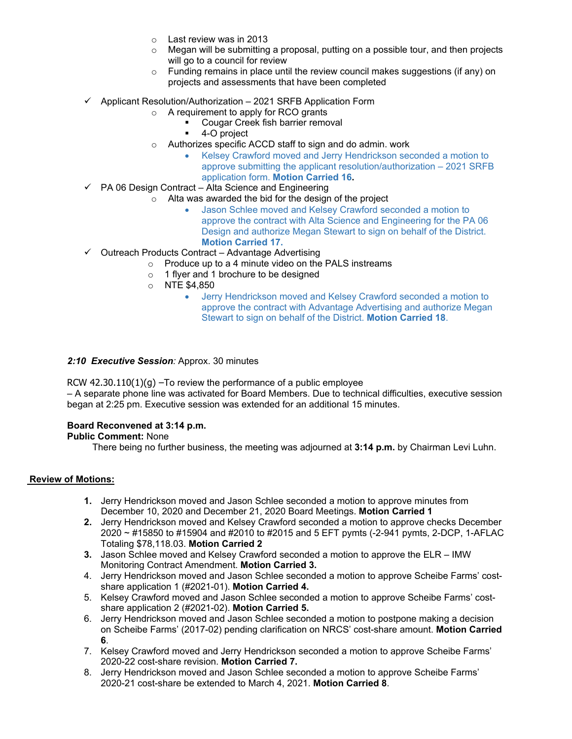- o Last review was in 2013
- $\circ$  Megan will be submitting a proposal, putting on a possible tour, and then projects will go to a council for review
- o Funding remains in place until the review council makes suggestions (if any) on projects and assessments that have been completed
- $\checkmark$  Applicant Resolution/Authorization 2021 SRFB Application Form
	- A requirement to apply for RCO grants
		- Cougar Creek fish barrier removal
		- 4-O project
	- o Authorizes specific ACCD staff to sign and do admin. work
		- Kelsey Crawford moved and Jerry Hendrickson seconded a motion to approve submitting the applicant resolution/authorization – 2021 SRFB application form. **Motion Carried 16.**
- $\checkmark$  PA 06 Design Contract Alta Science and Engineering
	- o Alta was awarded the bid for the design of the project
		- Jason Schlee moved and Kelsey Crawford seconded a motion to approve the contract with Alta Science and Engineering for the PA 06 Design and authorize Megan Stewart to sign on behalf of the District. **Motion Carried 17.**
- $\checkmark$  Outreach Products Contract Advantage Advertising
	- $\circ$  Produce up to a 4 minute video on the PALS instreams
	- o 1 flyer and 1 brochure to be designed
	- $\circ$  NTE \$4,850
		- Jerry Hendrickson moved and Kelsey Crawford seconded a motion to approve the contract with Advantage Advertising and authorize Megan Stewart to sign on behalf of the District. **Motion Carried 18**.

#### *2:10 Executive Session:* Approx. 30 minutes

RCW  $42.30.110(1)(g)$  –To review the performance of a public employee – A separate phone line was activated for Board Members. Due to technical difficulties, executive session began at 2:25 pm. Executive session was extended for an additional 15 minutes.

#### **Board Reconvened at 3:14 p.m.**

#### **Public Comment:** None

There being no further business, the meeting was adjourned at **3:14 p.m.** by Chairman Levi Luhn.

### **Review of Motions:**

- **1.** Jerry Hendrickson moved and Jason Schlee seconded a motion to approve minutes from December 10, 2020 and December 21, 2020 Board Meetings. **Motion Carried 1**
- **2.** Jerry Hendrickson moved and Kelsey Crawford seconded a motion to approve checks December 2020 ~ #15850 to #15904 and #2010 to #2015 and 5 EFT pymts (-2-941 pymts, 2-DCP, 1-AFLAC Totaling \$78,118.03. **Motion Carried 2**
- **3.** Jason Schlee moved and Kelsey Crawford seconded a motion to approve the ELR IMW Monitoring Contract Amendment. **Motion Carried 3.**
- 4. Jerry Hendrickson moved and Jason Schlee seconded a motion to approve Scheibe Farms' costshare application 1 (#2021-01). **Motion Carried 4.**
- 5. Kelsey Crawford moved and Jason Schlee seconded a motion to approve Scheibe Farms' costshare application 2 (#2021-02). **Motion Carried 5.**
- 6. Jerry Hendrickson moved and Jason Schlee seconded a motion to postpone making a decision on Scheibe Farms' (2017-02) pending clarification on NRCS' cost-share amount. **Motion Carried 6**.
- 7. Kelsey Crawford moved and Jerry Hendrickson seconded a motion to approve Scheibe Farms' 2020-22 cost-share revision. **Motion Carried 7.**
- 8. Jerry Hendrickson moved and Jason Schlee seconded a motion to approve Scheibe Farms' 2020-21 cost-share be extended to March 4, 2021. **Motion Carried 8**.